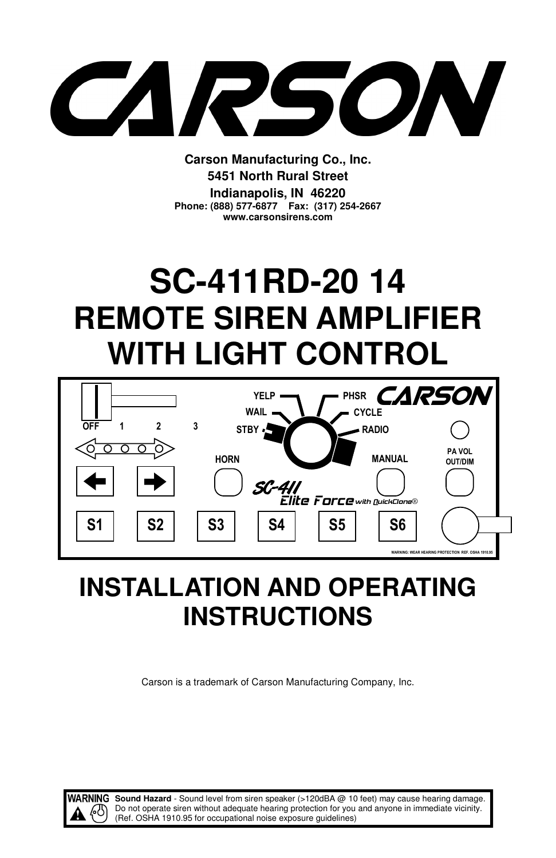SON **CONTRACTOR** 

**Carson Manufacturing Co., Inc. 5451 North Rural Street Indianapolis, IN 46220 Phone: (888) 577-6877 Fax: (317) 254-2667 www.carsonsirens.com** 

# **SC-411RD-20 14 REMOTE SIREN AMPLIFIER WITH LIGHT CONTROL**



## **INSTALLATION AND OPERATING INSTRUCTIONS**

Carson is a trademark of Carson Manufacturing Company, Inc.



WARNING Sound Hazard - Sound level from siren speaker (>120dBA @ 10 feet) may cause hearing damage. Do not operate siren without adequate hearing protection for you and anyone in immediate vicinity. (Ref. OSHA 1910.95 for occupational noise exposure guidelines)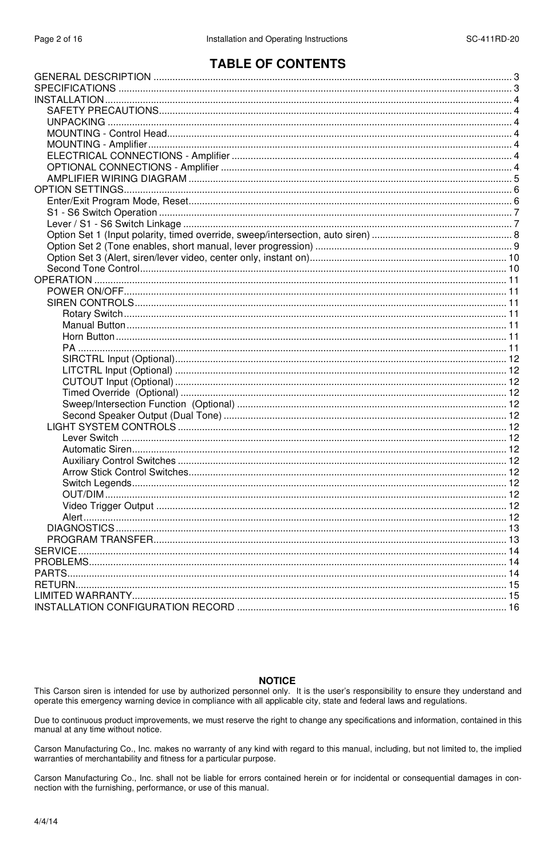## **TABLE OF CONTENTS**

#### **NOTICE**

This Carson siren is intended for use by authorized personnel only. It is the user's responsibility to ensure they understand and operate this emergency warning device in compliance with all applicable city, state and federal laws and requlations.

Due to continuous product improvements, we must reserve the right to change any specifications and information, contained in this manual at any time without notice.

Carson Manufacturing Co., Inc. makes no warranty of any kind with regard to this manual, including, but not limited to, the implied warranties of merchantability and fitness for a particular purpose.

Carson Manufacturing Co., Inc. shall not be liable for errors contained herein or for incidental or consequential damages in connection with the furnishing, performance, or use of this manual.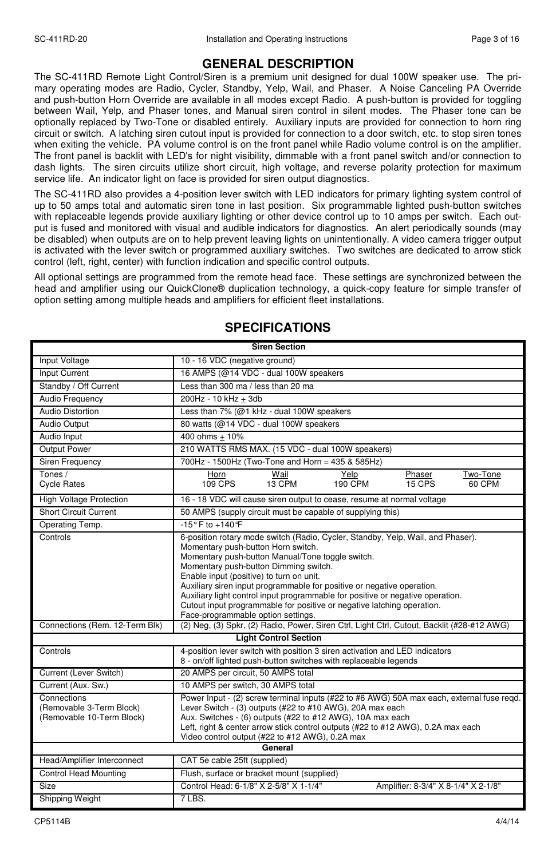## **GENERAL DESCRIPTION**

The SC-411RD Remote Light Control/Siren is a premium unit designed for dual 100W speaker use. The primary operating modes are Radio, Cycler, Standby, Yelp, Wail, and Phaser. A Noise Canceling PA Override and push-button Horn Override are available in all modes except Radio. A push-button is provided for toggling between Wail, Yelp, and Phaser tones, and Manual siren control in silent modes. The Phaser tone can be optionally replaced by Two-Tone or disabled entirely. Auxiliary inputs are provided for connection to horn ring circuit or switch. A latching siren cutout input is provided for connection to a door switch, etc. to stop siren tones when exiting the vehicle. PA volume control is on the front panel while Radio volume control is on the amplifier. The front panel is backlit with LED's for night visibility, dimmable with a front panel switch and/or connection to dash lights. The siren circuits utilize short circuit, high voltage, and reverse polarity protection for maximum service life. An indicator light on face is provided for siren output diagnostics.

The SC-411RD also provides a 4-position lever switch with LED indicators for primary lighting system control of up to 50 amps total and automatic siren tone in last position. Six programmable lighted push-button switches with replaceable legends provide auxiliary lighting or other device control up to 10 amps per switch. Each output is fused and monitored with visual and audible indicators for diagnostics. An alert periodically sounds (may be disabled) when outputs are on to help prevent leaving lights on unintentionally. A video camera trigger output is activated with the lever switch or programmed auxiliary switches. Two switches are dedicated to arrow stick control (left, right, center) with function indication and specific control outputs.

All optional settings are programmed from the remote head face. These settings are synchronized between the head and amplifier using our QuickClone® duplication technology, a quick-copy feature for simple transfer of option setting among multiple heads and amplifiers for efficient fleet installations.

| <b>Siren Section</b>                                                 |                                                                                                                                                                                                                                                                                                                                                                                                                                                                                                                                            |  |  |  |  |
|----------------------------------------------------------------------|--------------------------------------------------------------------------------------------------------------------------------------------------------------------------------------------------------------------------------------------------------------------------------------------------------------------------------------------------------------------------------------------------------------------------------------------------------------------------------------------------------------------------------------------|--|--|--|--|
| Input Voltage                                                        | 10 - 16 VDC (negative ground)                                                                                                                                                                                                                                                                                                                                                                                                                                                                                                              |  |  |  |  |
| <b>Input Current</b>                                                 | 16 AMPS (@14 VDC - dual 100W speakers                                                                                                                                                                                                                                                                                                                                                                                                                                                                                                      |  |  |  |  |
| Standby / Off Current                                                | Less than 300 ma / less than 20 ma                                                                                                                                                                                                                                                                                                                                                                                                                                                                                                         |  |  |  |  |
| Audio Frequency                                                      | 200Hz - 10 kHz + 3db                                                                                                                                                                                                                                                                                                                                                                                                                                                                                                                       |  |  |  |  |
| Audio Distortion                                                     | Less than 7% (@1 kHz - dual 100W speakers                                                                                                                                                                                                                                                                                                                                                                                                                                                                                                  |  |  |  |  |
| <b>Audio Output</b>                                                  | 80 watts (@14 VDC - dual 100W speakers                                                                                                                                                                                                                                                                                                                                                                                                                                                                                                     |  |  |  |  |
| Audio Input                                                          | 400 ohms + 10%                                                                                                                                                                                                                                                                                                                                                                                                                                                                                                                             |  |  |  |  |
| Output Power                                                         | 210 WATTS RMS MAX. (15 VDC - dual 100W speakers)                                                                                                                                                                                                                                                                                                                                                                                                                                                                                           |  |  |  |  |
| Siren Frequency                                                      | 700Hz - 1500Hz (Two-Tone and Horn = 435 & 585Hz)                                                                                                                                                                                                                                                                                                                                                                                                                                                                                           |  |  |  |  |
| Tones /<br><b>Cycle Rates</b>                                        | Wail<br>Horn<br>Yelp<br>Phaser<br>Two-Tone<br>$15$ CPS<br>109 CPS<br>13 CPM<br><b>190 CPM</b><br>60 CPM                                                                                                                                                                                                                                                                                                                                                                                                                                    |  |  |  |  |
| <b>High Voltage Protection</b>                                       | 16 - 18 VDC will cause siren output to cease, resume at normal voltage                                                                                                                                                                                                                                                                                                                                                                                                                                                                     |  |  |  |  |
| <b>Short Circuit Current</b>                                         | 50 AMPS (supply circuit must be capable of supplying this)                                                                                                                                                                                                                                                                                                                                                                                                                                                                                 |  |  |  |  |
| Operating Temp.                                                      | $-15^{\circ}$ F to $+140^{\circ}$ F                                                                                                                                                                                                                                                                                                                                                                                                                                                                                                        |  |  |  |  |
| Controls                                                             | 6-position rotary mode switch (Radio, Cycler, Standby, Yelp, Wail, and Phaser).<br>Momentary push-button Horn switch.<br>Momentary push-button Manual/Tone toggle switch.<br>Momentary push-button Dimming switch.<br>Enable input (positive) to turn on unit.<br>Auxiliary siren input programmable for positive or negative operation.<br>Auxiliary light control input programmable for positive or negative operation.<br>Cutout input programmable for positive or negative latching operation.<br>Face-programmable option settings. |  |  |  |  |
| Connections (Rem. 12-Term Blk)                                       | (2) Neg, (3) Spkr, (2) Radio, Power, Siren Ctrl, Light Ctrl, Cutout, Backlit (#28-#12 AWG)                                                                                                                                                                                                                                                                                                                                                                                                                                                 |  |  |  |  |
|                                                                      | <b>Light Control Section</b>                                                                                                                                                                                                                                                                                                                                                                                                                                                                                                               |  |  |  |  |
| Controls                                                             | 4-position lever switch with position 3 siren activation and LED indicators<br>8 - on/off lighted push-button switches with replaceable legends                                                                                                                                                                                                                                                                                                                                                                                            |  |  |  |  |
| Current (Lever Switch)                                               | 20 AMPS per circuit, 50 AMPS total                                                                                                                                                                                                                                                                                                                                                                                                                                                                                                         |  |  |  |  |
| Current (Aux. Sw.)                                                   | 10 AMPS per switch, 30 AMPS total                                                                                                                                                                                                                                                                                                                                                                                                                                                                                                          |  |  |  |  |
| Connections<br>(Removable 3-Term Block)<br>(Removable 10-Term Block) | Power Input - (2) screw terminal inputs (#22 to #6 AWG) 50A max each, external fuse regd.<br>Lever Switch - (3) outputs (#22 to #10 AWG), 20A max each<br>Aux. Switches - (6) outputs (#22 to #12 AWG), 10A max each<br>Left, right & center arrow stick control outputs (#22 to #12 AWG), 0.2A max each<br>Video control output (#22 to #12 AWG), 0.2A max                                                                                                                                                                                |  |  |  |  |
|                                                                      | General                                                                                                                                                                                                                                                                                                                                                                                                                                                                                                                                    |  |  |  |  |
| Head/Amplifier Interconnect                                          | CAT 5e cable 25ft (supplied)                                                                                                                                                                                                                                                                                                                                                                                                                                                                                                               |  |  |  |  |
| Control Head Mounting                                                | Flush, surface or bracket mount (supplied)                                                                                                                                                                                                                                                                                                                                                                                                                                                                                                 |  |  |  |  |
| Size                                                                 | Control Head: 6-1/8" X 2-5/8" X 1-1/4"<br>Amplifier: 8-3/4" X 8-1/4" X 2-1/8"                                                                                                                                                                                                                                                                                                                                                                                                                                                              |  |  |  |  |
| Shipping Weight                                                      | 7 LBS.                                                                                                                                                                                                                                                                                                                                                                                                                                                                                                                                     |  |  |  |  |

## **SPECIFICATIONS**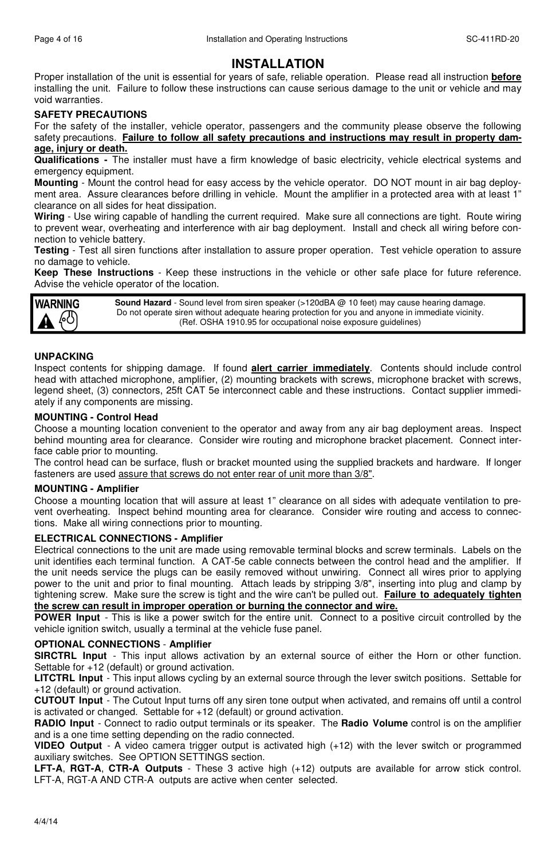## **INSTALLATION**

Proper installation of the unit is essential for years of safe, reliable operation. Please read all instruction **before** installing the unit. Failure to follow these instructions can cause serious damage to the unit or vehicle and may void warranties.

## **SAFETY PRECAUTIONS**

For the safety of the installer, vehicle operator, passengers and the community please observe the following safety precautions. **Failure to follow all safety precautions and instructions may result in property damage, injury or death.**

**Qualifications -** The installer must have a firm knowledge of basic electricity, vehicle electrical systems and emergency equipment.

**Mounting** - Mount the control head for easy access by the vehicle operator. DO NOT mount in air bag deployment area. Assure clearances before drilling in vehicle. Mount the amplifier in a protected area with at least 1" clearance on all sides for heat dissipation.

**Wiring** - Use wiring capable of handling the current required. Make sure all connections are tight. Route wiring to prevent wear, overheating and interference with air bag deployment. Install and check all wiring before connection to vehicle battery.

**Testing** - Test all siren functions after installation to assure proper operation. Test vehicle operation to assure no damage to vehicle.

**Keep These Instructions** - Keep these instructions in the vehicle or other safe place for future reference. Advise the vehicle operator of the location.

**WARNING** 

**Sound Hazard** - Sound level from siren speaker (>120dBA @ 10 feet) may cause hearing damage. Do not operate siren without adequate hearing protection for you and anyone in immediate vicinity. (Ref. OSHA 1910.95 for occupational noise exposure guidelines)

### **UNPACKING**

Inspect contents for shipping damage. If found **alert carrier immediately**. Contents should include control head with attached microphone, amplifier, (2) mounting brackets with screws, microphone bracket with screws, legend sheet, (3) connectors, 25ft CAT 5e interconnect cable and these instructions. Contact supplier immediately if any components are missing.

#### **MOUNTING - Control Head**

Choose a mounting location convenient to the operator and away from any air bag deployment areas. Inspect behind mounting area for clearance. Consider wire routing and microphone bracket placement. Connect interface cable prior to mounting.

The control head can be surface, flush or bracket mounted using the supplied brackets and hardware. If longer fasteners are used assure that screws do not enter rear of unit more than 3/8".

#### **MOUNTING - Amplifier**

Choose a mounting location that will assure at least 1" clearance on all sides with adequate ventilation to prevent overheating. Inspect behind mounting area for clearance. Consider wire routing and access to connections. Make all wiring connections prior to mounting.

#### **ELECTRICAL CONNECTIONS - Amplifier**

Electrical connections to the unit are made using removable terminal blocks and screw terminals. Labels on the unit identifies each terminal function. A CAT-5e cable connects between the control head and the amplifier. If the unit needs service the plugs can be easily removed without unwiring. Connect all wires prior to applying power to the unit and prior to final mounting. Attach leads by stripping 3/8", inserting into plug and clamp by tightening screw. Make sure the screw is tight and the wire can't be pulled out. **Failure to adequately tighten the screw can result in improper operation or burning the connector and wire.**

**POWER Input** - This is like a power switch for the entire unit. Connect to a positive circuit controlled by the vehicle ignition switch, usually a terminal at the vehicle fuse panel.

## **OPTIONAL CONNECTIONS** - **Amplifier**

**SIRCTRL Input** - This input allows activation by an external source of either the Horn or other function. Settable for +12 (default) or ground activation.

**LITCTRL Input** - This input allows cycling by an external source through the lever switch positions. Settable for +12 (default) or ground activation.

**CUTOUT Input** - The Cutout Input turns off any siren tone output when activated, and remains off until a control is activated or changed. Settable for +12 (default) or ground activation.

**RADIO Input** - Connect to radio output terminals or its speaker. The **Radio Volume** control is on the amplifier and is a one time setting depending on the radio connected.

**VIDEO Output** - A video camera trigger output is activated high (+12) with the lever switch or programmed auxiliary switches. See OPTION SETTINGS section.

**LFT-A**, **RGT-A**, **CTR-A Outputs** - These 3 active high (+12) outputs are available for arrow stick control. LFT-A, RGT-A AND CTR-A outputs are active when center selected.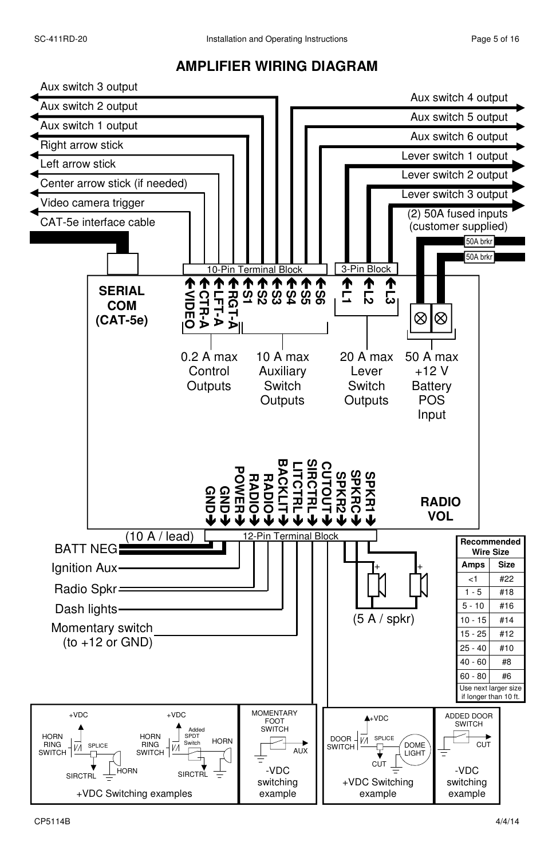## **AMPLIFIER WIRING DIAGRAM**

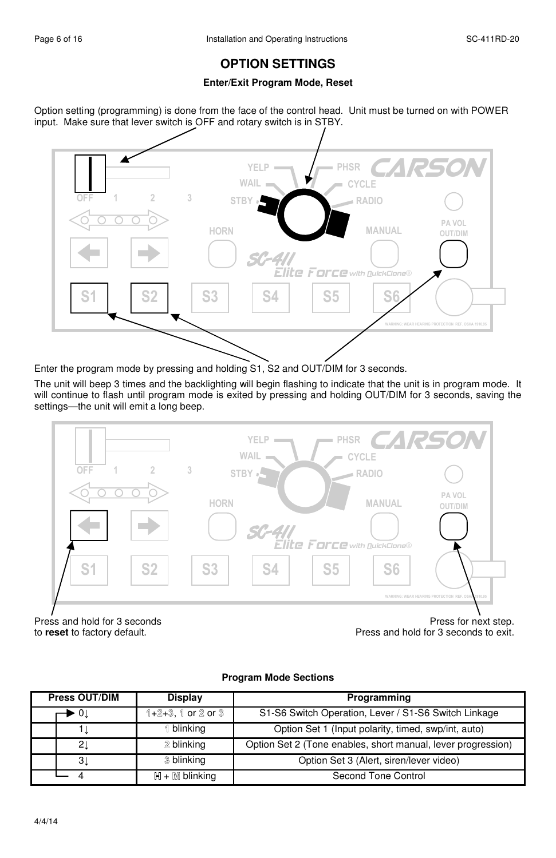## **OPTION SETTINGS**

## **Enter/Exit Program Mode, Reset**

Option setting (programming) is done from the face of the control head. Unit must be turned on with POWER input. Make sure that lever switch is OFF and rotary switch is in STBY.



Enter the program mode by pressing and holding S1, S2 and OUT/DIM for 3 seconds.

The unit will beep 3 times and the backlighting will begin flashing to indicate that the unit is in program mode. It will continue to flash until program mode is exited by pressing and holding OUT/DIM for 3 seconds, saving the settings—the unit will emit a long beep.



Press and hold for 3 seconds<br>
to reset to factory default. The press and hold for 3 seconds to exit. Press and hold for 3 seconds to exit.

## **Program Mode Sections**

| Press OUT/DIM | Display               | Programming                                                  |  |
|---------------|-----------------------|--------------------------------------------------------------|--|
| ► OI          | $1+2+3$ , 1 or 2 or 3 | S1-S6 Switch Operation, Lever / S1-S6 Switch Linkage         |  |
|               | 1 blinking            | Option Set 1 (Input polarity, timed, swp/int, auto)          |  |
| 2Ţ            | 2 blinking            | Option Set 2 (Tone enables, short manual, lever progression) |  |
| 31            | 3 blinking            | Option Set 3 (Alert, siren/lever video)                      |  |
|               | $H + M$ blinking      | Second Tone Control                                          |  |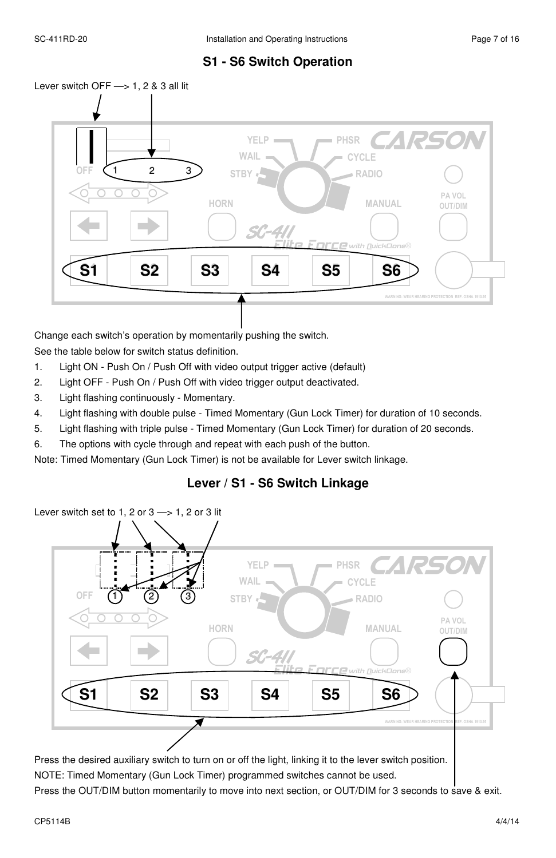## **S1 - S6 Switch Operation**



Change each switch's operation by momentarily pushing the switch. See the table below for switch status definition.

- 1. Light ON Push On / Push Off with video output trigger active (default)
- 2. Light OFF Push On / Push Off with video trigger output deactivated.
- 3. Light flashing continuously Momentary.
- 4. Light flashing with double pulse Timed Momentary (Gun Lock Timer) for duration of 10 seconds.
- 5. Light flashing with triple pulse Timed Momentary (Gun Lock Timer) for duration of 20 seconds.
- 6. The options with cycle through and repeat with each push of the button.

Note: Timed Momentary (Gun Lock Timer) is not be available for Lever switch linkage.

## **Lever / S1 - S6 Switch Linkage**



Press the desired auxiliary switch to turn on or off the light, linking it to the lever switch position. NOTE: Timed Momentary (Gun Lock Timer) programmed switches cannot be used.

Press the OUT/DIM button momentarily to move into next section, or OUT/DIM for 3 seconds to save & exit.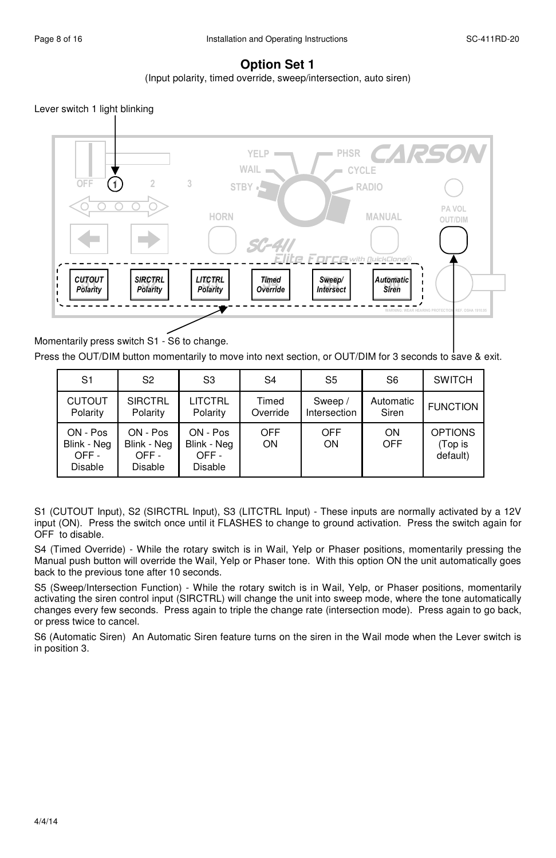## **Option Set 1**

(Input polarity, timed override, sweep/intersection, auto siren)

Lever switch 1 light blinking



Momentarily press switch S1 - S6 to change.

Press the OUT/DIM button momentarily to move into next section, or OUT/DIM for 3 seconds to save & exit.

| S <sub>1</sub>                                    | S <sub>2</sub>                             | S <sub>3</sub>                                    | S <sub>4</sub>    | S <sub>5</sub>          | S <sub>6</sub>     | <b>SWITCH</b>                         |
|---------------------------------------------------|--------------------------------------------|---------------------------------------------------|-------------------|-------------------------|--------------------|---------------------------------------|
| <b>CUTOUT</b><br>Polarity                         | <b>SIRCTRL</b><br>Polarity                 | <b>LITCTRL</b><br>Polarity                        | Timed<br>Override | Sweep /<br>Intersection | Automatic<br>Siren | <b>FUNCTION</b>                       |
| ON - Pos<br>Blink - Neg<br>OFF-<br><b>Disable</b> | ON - Pos<br>Blink - Neg<br>OFF-<br>Disable | ON - Pos<br>Blink - Neg<br>OFF-<br><b>Disable</b> | <b>OFF</b><br>ON  | <b>OFF</b><br>ON        | ON<br>OFF          | <b>OPTIONS</b><br>(Top is<br>default) |

S1 (CUTOUT Input), S2 (SIRCTRL Input), S3 (LITCTRL Input) - These inputs are normally activated by a 12V input (ON). Press the switch once until it FLASHES to change to ground activation. Press the switch again for OFF to disable.

S4 (Timed Override) - While the rotary switch is in Wail, Yelp or Phaser positions, momentarily pressing the Manual push button will override the Wail, Yelp or Phaser tone. With this option ON the unit automatically goes back to the previous tone after 10 seconds.

S5 (Sweep/Intersection Function) - While the rotary switch is in Wail, Yelp, or Phaser positions, momentarily activating the siren control input (SIRCTRL) will change the unit into sweep mode, where the tone automatically changes every few seconds. Press again to triple the change rate (intersection mode). Press again to go back, or press twice to cancel.

S6 (Automatic Siren) An Automatic Siren feature turns on the siren in the Wail mode when the Lever switch is in position 3.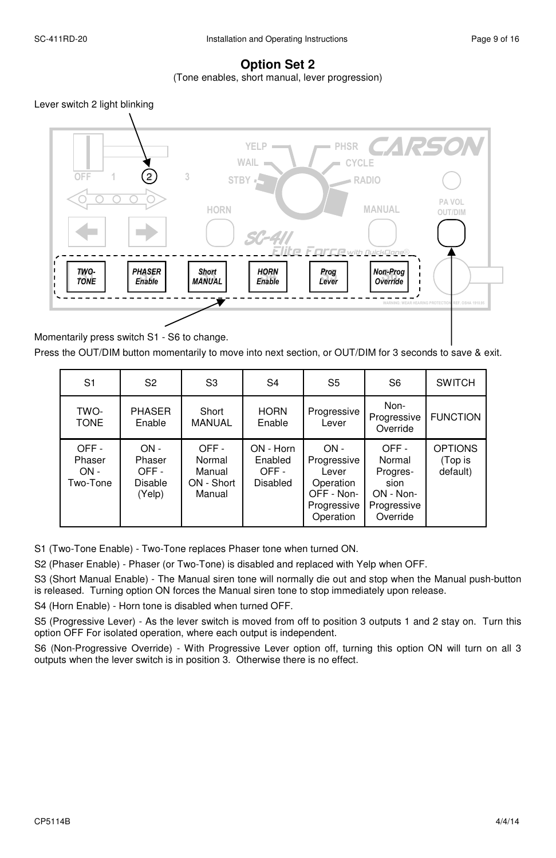## **Option Set 2**

(Tone enables, short manual, lever progression)

Lever switch 2 light blinking



Press the OUT/DIM button momentarily to move into next section, or OUT/DIM for 3 seconds to save & exit.

| S <sub>1</sub>                       | S <sub>2</sub>                                       | S <sub>3</sub>                                   | S4                                              | S <sub>5</sub>                                                                        | S <sub>6</sub>                                                                | <b>SWITCH</b>                         |
|--------------------------------------|------------------------------------------------------|--------------------------------------------------|-------------------------------------------------|---------------------------------------------------------------------------------------|-------------------------------------------------------------------------------|---------------------------------------|
| TWO-<br><b>TONE</b>                  | <b>PHASER</b><br>Enable                              | Short<br><b>MANUAL</b>                           | <b>HORN</b><br>Enable                           | Progressive<br>Lever                                                                  | Non-<br>Progressive<br>Override                                               | <b>FUNCTION</b>                       |
| OFF-<br>Phaser<br>$ON -$<br>Two-Tone | $ON -$<br>Phaser<br>OFF-<br><b>Disable</b><br>(Yelp) | OFF-<br>Normal<br>Manual<br>ON - Short<br>Manual | ON - Horn<br>Enabled<br>OFF-<br><b>Disabled</b> | $ON -$<br>Progressive<br>Lever<br>Operation<br>OFF - Non-<br>Progressive<br>Operation | OFF-<br>Normal<br>Progres-<br>sion<br>$ON - Non -$<br>Progressive<br>Override | <b>OPTIONS</b><br>(Top is<br>default) |

S1 (Two-Tone Enable) - Two-Tone replaces Phaser tone when turned ON.

S2 (Phaser Enable) - Phaser (or Two-Tone) is disabled and replaced with Yelp when OFF.

S3 (Short Manual Enable) - The Manual siren tone will normally die out and stop when the Manual push-button is released. Turning option ON forces the Manual siren tone to stop immediately upon release.

S4 (Horn Enable) - Horn tone is disabled when turned OFF.

S5 (Progressive Lever) - As the lever switch is moved from off to position 3 outputs 1 and 2 stay on. Turn this option OFF For isolated operation, where each output is independent.

S6 (Non-Progressive Override) - With Progressive Lever option off, turning this option ON will turn on all 3 outputs when the lever switch is in position 3. Otherwise there is no effect.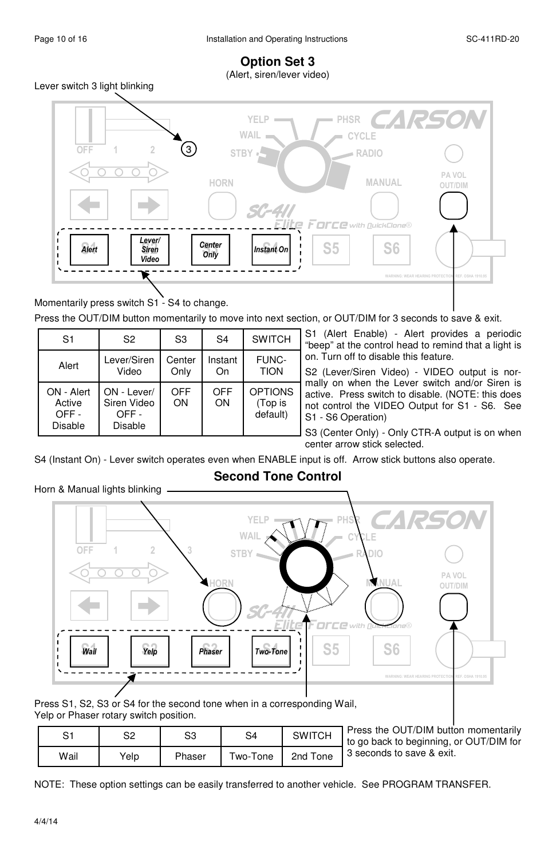## **Option Set 3**  (Alert, siren/lever video)

Lever switch 3 light blinking



Momentarily press switch S1 - S4 to change.

Press the OUT/DIM button momentarily to move into next section, or OUT/DIM for 3 seconds to save & exit.

| S <sub>1</sub>                          | S <sub>2</sub>                                | S <sub>3</sub> | S <sub>4</sub> | <b>SWITCH</b>                         |
|-----------------------------------------|-----------------------------------------------|----------------|----------------|---------------------------------------|
| Alert                                   | Lever/Siren<br>Video                          | Center<br>Only | Instant<br>On  | FUNC-<br><b>TION</b>                  |
| ON - Alert<br>Active<br>OFF-<br>Disable | ON - Lever/<br>Siren Video<br>OFF-<br>Disable | OFF<br>ON      | OFF<br>ON      | <b>OPTIONS</b><br>(Top is<br>default) |

S1 (Alert Enable) - Alert provides a periodic "beep" at the control head to remind that a light is on. Turn off to disable this feature.

S2 (Lever/Siren Video) - VIDEO output is normally on when the Lever switch and/or Siren is active. Press switch to disable. (NOTE: this does not control the VIDEO Output for S1 - S6. See S1 - S6 Operation)

S3 (Center Only) - Only CTR-A output is on when center arrow stick selected.

S4 (Instant On) - Lever switch operates even when ENABLE input is off. Arrow stick buttons also operate.

Horn & Manual lights blinking  $W$ ail  $\begin{array}{|c|c|c|c|c|c|c|c|c|} \hline \end{array}$  S6  $\begin{array}{|c|c|c|c|c|c|c|c|c|c|} \hline \end{array}$  S6 S6 OFF 1 2 3 PA VOL WARNING: WEAR HEARING PROTECTION REF. OSHA 1910.95 YEL WAIL **STBY** PHSR CYCLE RADIO **CARSON** SC-411 Elite Force HORN MANUAL OUT/DIM with **QuickClone®** Wail | Yelp | | Phaser | Two-Tone

**Second Tone Control** 

Press S1, S2, S3 or S4 for the second tone when in a corresponding Wail, Yelp or Phaser rotary switch position.

| S1   | S2   | S3     | S4       | <b>SWITCH</b> | Press the OUT/DIM button momentarily<br>I to go back to beginning, or OUT/DIM for |
|------|------|--------|----------|---------------|-----------------------------------------------------------------------------------|
| Wail | Yelp | Phaser | Two-Tone | 2nd Tone      | 3 seconds to save & exit.                                                         |

NOTE: These option settings can be easily transferred to another vehicle. See PROGRAM TRANSFER.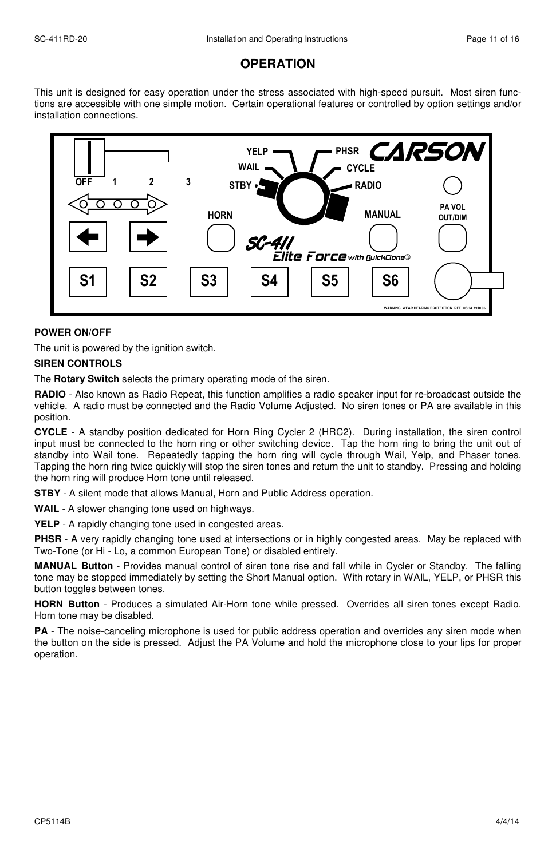## **OPERATION**

This unit is designed for easy operation under the stress associated with high-speed pursuit. Most siren functions are accessible with one simple motion. Certain operational features or controlled by option settings and/or installation connections.



#### **POWER ON/OFF**

The unit is powered by the ignition switch.

#### **SIREN CONTROLS**

The **Rotary Switch** selects the primary operating mode of the siren.

**RADIO** - Also known as Radio Repeat, this function amplifies a radio speaker input for re-broadcast outside the vehicle. A radio must be connected and the Radio Volume Adjusted. No siren tones or PA are available in this position.

**CYCLE** - A standby position dedicated for Horn Ring Cycler 2 (HRC2). During installation, the siren control input must be connected to the horn ring or other switching device. Tap the horn ring to bring the unit out of standby into Wail tone. Repeatedly tapping the horn ring will cycle through Wail, Yelp, and Phaser tones. Tapping the horn ring twice quickly will stop the siren tones and return the unit to standby. Pressing and holding the horn ring will produce Horn tone until released.

**STBY** - A silent mode that allows Manual, Horn and Public Address operation.

**WAIL** - A slower changing tone used on highways.

**YELP** - A rapidly changing tone used in congested areas.

**PHSR** - A very rapidly changing tone used at intersections or in highly congested areas. May be replaced with Two-Tone (or Hi - Lo, a common European Tone) or disabled entirely.

**MANUAL Button** - Provides manual control of siren tone rise and fall while in Cycler or Standby. The falling tone may be stopped immediately by setting the Short Manual option. With rotary in WAIL, YELP, or PHSR this button toggles between tones.

**HORN Button** - Produces a simulated Air-Horn tone while pressed. Overrides all siren tones except Radio. Horn tone may be disabled.

**PA** - The noise-canceling microphone is used for public address operation and overrides any siren mode when the button on the side is pressed. Adjust the PA Volume and hold the microphone close to your lips for proper operation.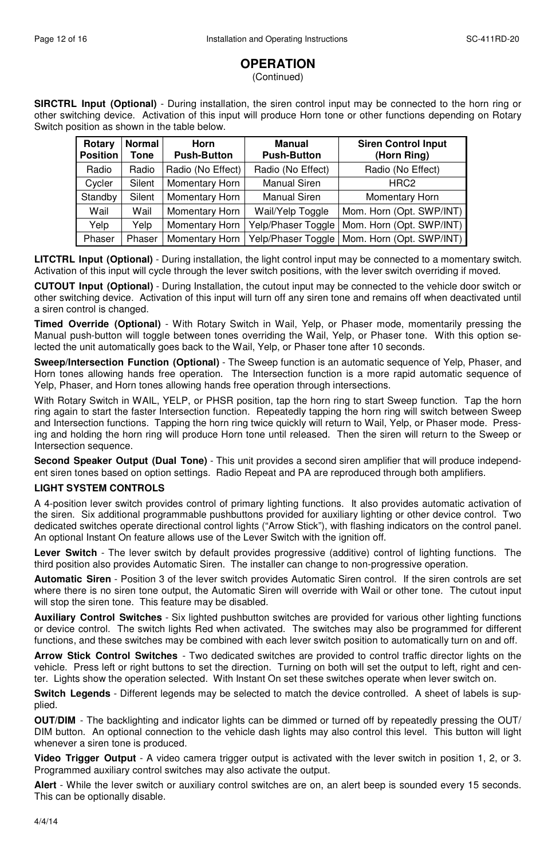## **OPERATION**

(Continued)

**SIRCTRL Input (Optional)** - During installation, the siren control input may be connected to the horn ring or other switching device. Activation of this input will produce Horn tone or other functions depending on Rotary Switch position as shown in the table below.

| Rotary<br><b>Position</b> | Normal<br>Tone | Horn<br><b>Push-Button</b> | Manual<br><b>Push-Button</b> | <b>Siren Control Input</b><br>(Horn Ring)     |
|---------------------------|----------------|----------------------------|------------------------------|-----------------------------------------------|
| Radio                     | Radio          | Radio (No Effect)          | Radio (No Effect)            | Radio (No Effect)                             |
| Cycler                    | Silent         | Momentary Horn             | <b>Manual Siren</b>          | HRC <sub>2</sub>                              |
| Standby                   | Silent         | Momentary Horn             | <b>Manual Siren</b>          | Momentary Horn                                |
| Wail                      | Wail           | Momentary Horn             | Wail/Yelp Toggle             | Mom. Horn (Opt. SWP/INT)                      |
| Yelp                      | Yelp           | Momentary Horn             | Yelp/Phaser Toggle           | Mom. Horn (Opt. SWP/INT)                      |
| Phaser                    | Phaser         | Momentary Horn             |                              | Yelp/Phaser Toggle   Mom. Horn (Opt. SWP/INT) |

**LITCTRL Input (Optional)** - During installation, the light control input may be connected to a momentary switch. Activation of this input will cycle through the lever switch positions, with the lever switch overriding if moved.

**CUTOUT Input (Optional)** - During Installation, the cutout input may be connected to the vehicle door switch or other switching device. Activation of this input will turn off any siren tone and remains off when deactivated until a siren control is changed.

**Timed Override (Optional)** - With Rotary Switch in Wail, Yelp, or Phaser mode, momentarily pressing the Manual push-button will toggle between tones overriding the Wail, Yelp, or Phaser tone. With this option selected the unit automatically goes back to the Wail, Yelp, or Phaser tone after 10 seconds.

**Sweep/Intersection Function (Optional)** - The Sweep function is an automatic sequence of Yelp, Phaser, and Horn tones allowing hands free operation. The Intersection function is a more rapid automatic sequence of Yelp, Phaser, and Horn tones allowing hands free operation through intersections.

With Rotary Switch in WAIL, YELP, or PHSR position, tap the horn ring to start Sweep function. Tap the horn ring again to start the faster Intersection function. Repeatedly tapping the horn ring will switch between Sweep and Intersection functions. Tapping the horn ring twice quickly will return to Wail, Yelp, or Phaser mode. Pressing and holding the horn ring will produce Horn tone until released. Then the siren will return to the Sweep or Intersection sequence.

**Second Speaker Output (Dual Tone)** - This unit provides a second siren amplifier that will produce independent siren tones based on option settings. Radio Repeat and PA are reproduced through both amplifiers.

## **LIGHT SYSTEM CONTROLS**

A 4-position lever switch provides control of primary lighting functions. It also provides automatic activation of the siren. Six additional programmable pushbuttons provided for auxiliary lighting or other device control. Two dedicated switches operate directional control lights ("Arrow Stick"), with flashing indicators on the control panel. An optional Instant On feature allows use of the Lever Switch with the ignition off.

**Lever Switch** - The lever switch by default provides progressive (additive) control of lighting functions. The third position also provides Automatic Siren. The installer can change to non-progressive operation.

**Automatic Siren** - Position 3 of the lever switch provides Automatic Siren control. If the siren controls are set where there is no siren tone output, the Automatic Siren will override with Wail or other tone. The cutout input will stop the siren tone. This feature may be disabled.

**Auxiliary Control Switches** - Six lighted pushbutton switches are provided for various other lighting functions or device control. The switch lights Red when activated. The switches may also be programmed for different functions, and these switches may be combined with each lever switch position to automatically turn on and off.

**Arrow Stick Control Switches** - Two dedicated switches are provided to control traffic director lights on the vehicle. Press left or right buttons to set the direction. Turning on both will set the output to left, right and center. Lights show the operation selected. With Instant On set these switches operate when lever switch on.

**Switch Legends** - Different legends may be selected to match the device controlled. A sheet of labels is supplied.

**OUT/DIM** - The backlighting and indicator lights can be dimmed or turned off by repeatedly pressing the OUT/ DIM button. An optional connection to the vehicle dash lights may also control this level. This button will light whenever a siren tone is produced.

**Video Trigger Output** - A video camera trigger output is activated with the lever switch in position 1, 2, or 3. Programmed auxiliary control switches may also activate the output.

**Alert** - While the lever switch or auxiliary control switches are on, an alert beep is sounded every 15 seconds. This can be optionally disable.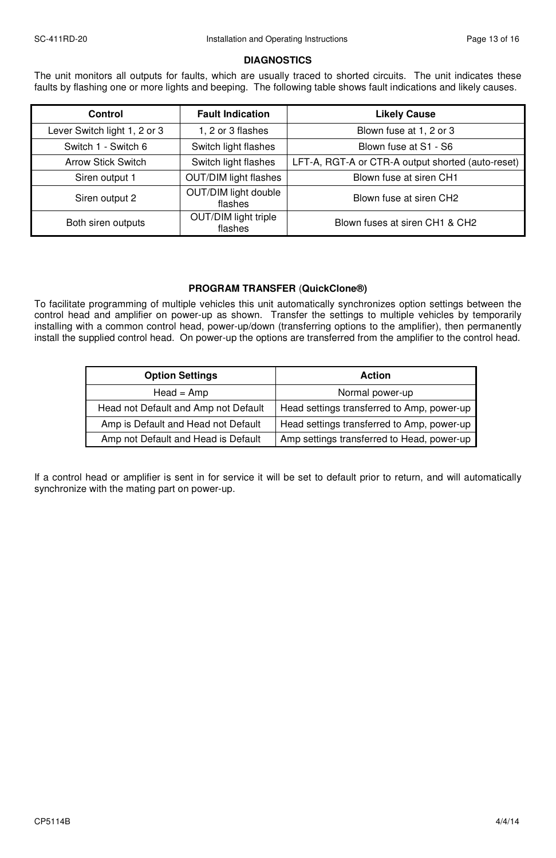#### **DIAGNOSTICS**

The unit monitors all outputs for faults, which are usually traced to shorted circuits. The unit indicates these faults by flashing one or more lights and beeping. The following table shows fault indications and likely causes.

| Control                      | <b>Fault Indication</b>         | <b>Likely Cause</b>                               |
|------------------------------|---------------------------------|---------------------------------------------------|
| Lever Switch light 1, 2 or 3 | 1, 2 or 3 flashes               | Blown fuse at 1, 2 or 3                           |
| Switch 1 - Switch 6          | Switch light flashes            | Blown fuse at S1 - S6                             |
| <b>Arrow Stick Switch</b>    | Switch light flashes            | LFT-A, RGT-A or CTR-A output shorted (auto-reset) |
| Siren output 1               | <b>OUT/DIM light flashes</b>    | Blown fuse at siren CH1                           |
| Siren output 2               | OUT/DIM light double<br>flashes | Blown fuse at siren CH2                           |
| Both siren outputs           | OUT/DIM light triple<br>flashes | Blown fuses at siren CH1 & CH2                    |

## **PROGRAM TRANSFER** (**QuickClone®)**

To facilitate programming of multiple vehicles this unit automatically synchronizes option settings between the control head and amplifier on power-up as shown. Transfer the settings to multiple vehicles by temporarily installing with a common control head, power-up/down (transferring options to the amplifier), then permanently install the supplied control head. On power-up the options are transferred from the amplifier to the control head.

| <b>Option Settings</b>               | <b>Action</b>                              |
|--------------------------------------|--------------------------------------------|
| $Head = Amp$                         | Normal power-up                            |
| Head not Default and Amp not Default | Head settings transferred to Amp, power-up |
| Amp is Default and Head not Default  | Head settings transferred to Amp, power-up |
| Amp not Default and Head is Default  | Amp settings transferred to Head, power-up |

If a control head or amplifier is sent in for service it will be set to default prior to return, and will automatically synchronize with the mating part on power-up.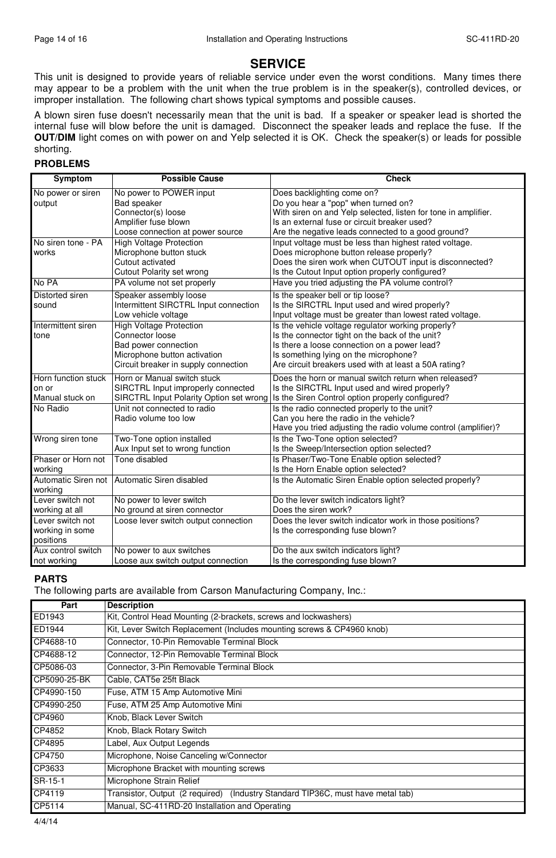## **SERVICE**

This unit is designed to provide years of reliable service under even the worst conditions. Many times there may appear to be a problem with the unit when the true problem is in the speaker(s), controlled devices, or improper installation. The following chart shows typical symptoms and possible causes.

A blown siren fuse doesn't necessarily mean that the unit is bad. If a speaker or speaker lead is shorted the internal fuse will blow before the unit is damaged. Disconnect the speaker leads and replace the fuse. If the **OUT/DIM** light comes on with power on and Yelp selected it is OK. Check the speaker(s) or leads for possible shorting.

#### **PROBLEMS**

| Symptom             | <b>Possible Cause</b>                   | <b>Check</b>                                                   |
|---------------------|-----------------------------------------|----------------------------------------------------------------|
| No power or siren   | No power to POWER input                 | Does backlighting come on?                                     |
| output              | Bad speaker                             | Do you hear a "pop" when turned on?                            |
|                     | Connector(s) loose                      | With siren on and Yelp selected, listen for tone in amplifier. |
|                     | Amplifier fuse blown                    | Is an external fuse or circuit breaker used?                   |
|                     | Loose connection at power source        | Are the negative leads connected to a good ground?             |
| No siren tone - PA  | <b>High Voltage Protection</b>          | Input voltage must be less than highest rated voltage.         |
| works               | Microphone button stuck                 | Does microphone button release properly?                       |
|                     | Cutout activated                        | Does the siren work when CUTOUT input is disconnected?         |
|                     | Cutout Polarity set wrong               | Is the Cutout Input option properly configured?                |
| No PA               | PA volume not set properly              | Have you tried adjusting the PA volume control?                |
| Distorted siren     | Speaker assembly loose                  | Is the speaker bell or tip loose?                              |
| sound               | Intermittent SIRCTRL Input connection   | Is the SIRCTRL Input used and wired properly?                  |
|                     | Low vehicle voltage                     | Input voltage must be greater than lowest rated voltage.       |
| Intermittent siren  | <b>High Voltage Protection</b>          | Is the vehicle voltage regulator working properly?             |
| tone                | Connector loose                         | Is the connector tight on the back of the unit?                |
|                     | Bad power connection                    | Is there a loose connection on a power lead?                   |
|                     | Microphone button activation            | Is something lying on the microphone?                          |
|                     | Circuit breaker in supply connection    | Are circuit breakers used with at least a 50A rating?          |
| Horn function stuck | Horn or Manual switch stuck             | Does the horn or manual switch return when released?           |
| on or               | SIRCTRL Input improperly connected      | Is the SIRCTRL Input used and wired properly?                  |
| Manual stuck on     | SIRCTRL Input Polarity Option set wrong | Is the Siren Control option properly configured?               |
| No Radio            | Unit not connected to radio             | Is the radio connected properly to the unit?                   |
|                     | Radio volume too low                    | Can you here the radio in the vehicle?                         |
|                     |                                         | Have you tried adjusting the radio volume control (amplifier)? |
| Wrong siren tone    | Two-Tone option installed               | Is the Two-Tone option selected?                               |
|                     | Aux Input set to wrong function         | Is the Sweep/Intersection option selected?                     |
| Phaser or Horn not  | Tone disabled                           | Is Phaser/Two-Tone Enable option selected?                     |
| working             |                                         | Is the Horn Enable option selected?                            |
| Automatic Siren not | Automatic Siren disabled                | Is the Automatic Siren Enable option selected properly?        |
| working             |                                         |                                                                |
| Lever switch not    | No power to lever switch                | Do the lever switch indicators light?                          |
| working at all      | No ground at siren connector            | Does the siren work?                                           |
| Lever switch not    | Loose lever switch output connection    | Does the lever switch indicator work in those positions?       |
| working in some     |                                         | Is the corresponding fuse blown?                               |
| positions           |                                         |                                                                |
| Aux control switch  | No power to aux switches                | Do the aux switch indicators light?                            |
| not working         | Loose aux switch output connection      | Is the corresponding fuse blown?                               |

#### **PARTS**

The following parts are available from Carson Manufacturing Company, Inc.:

| Part         | <b>Description</b>                                                              |
|--------------|---------------------------------------------------------------------------------|
| ED1943       | Kit, Control Head Mounting (2-brackets, screws and lockwashers)                 |
| ED1944       | Kit, Lever Switch Replacement (Includes mounting screws & CP4960 knob)          |
| CP4688-10    | Connector, 10-Pin Removable Terminal Block                                      |
| CP4688-12    | Connector, 12-Pin Removable Terminal Block                                      |
| CP5086-03    | Connector, 3-Pin Removable Terminal Block                                       |
| CP5090-25-BK | Cable, CAT5e 25ft Black                                                         |
| CP4990-150   | Fuse, ATM 15 Amp Automotive Mini                                                |
| CP4990-250   | Fuse, ATM 25 Amp Automotive Mini                                                |
| CP4960       | Knob, Black Lever Switch                                                        |
| CP4852       | Knob, Black Rotary Switch                                                       |
| CP4895       | Label, Aux Output Legends                                                       |
| CP4750       | Microphone, Noise Canceling w/Connector                                         |
| CP3633       | Microphone Bracket with mounting screws                                         |
| SR-15-1      | Microphone Strain Relief                                                        |
| CP4119       | Transistor, Output (2 required) (Industry Standard TIP36C, must have metal tab) |
| CP5114       | Manual, SC-411RD-20 Installation and Operating                                  |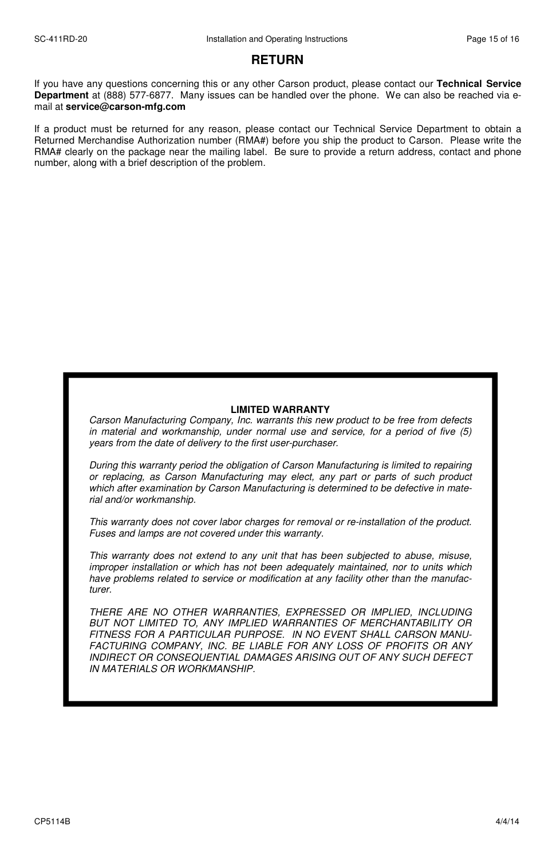## **RETURN**

If you have any questions concerning this or any other Carson product, please contact our **Technical Service Department** at (888) 577-6877. Many issues can be handled over the phone. We can also be reached via email at **service@carson-mfg.com**

If a product must be returned for any reason, please contact our Technical Service Department to obtain a Returned Merchandise Authorization number (RMA#) before you ship the product to Carson. Please write the RMA# clearly on the package near the mailing label. Be sure to provide a return address, contact and phone number, along with a brief description of the problem.

#### **LIMITED WARRANTY**

Carson Manufacturing Company, Inc. warrants this new product to be free from defects in material and workmanship, under normal use and service, for a period of five (5) years from the date of delivery to the first user-purchaser.

During this warranty period the obligation of Carson Manufacturing is limited to repairing or replacing, as Carson Manufacturing may elect, any part or parts of such product which after examination by Carson Manufacturing is determined to be defective in material and/or workmanship.

This warranty does not cover labor charges for removal or re-installation of the product. Fuses and lamps are not covered under this warranty.

This warranty does not extend to any unit that has been subjected to abuse, misuse, improper installation or which has not been adequately maintained, nor to units which have problems related to service or modification at any facility other than the manufacturer.

THERE ARE NO OTHER WARRANTIES, EXPRESSED OR IMPLIED, INCLUDING BUT NOT LIMITED TO, ANY IMPLIED WARRANTIES OF MERCHANTABILITY OR FITNESS FOR A PARTICULAR PURPOSE. IN NO EVENT SHALL CARSON MANU-FACTURING COMPANY, INC. BE LIABLE FOR ANY LOSS OF PROFITS OR ANY INDIRECT OR CONSEQUENTIAL DAMAGES ARISING OUT OF ANY SUCH DEFECT IN MATERIALS OR WORKMANSHIP.